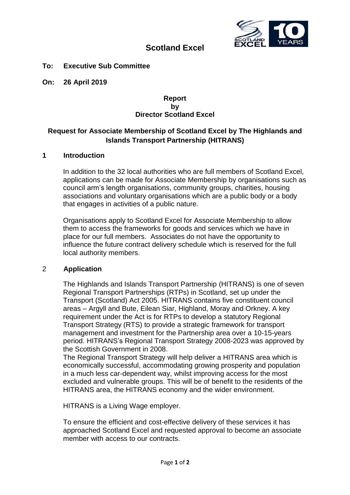

# **Scotland Excel**

**To: Executive Sub Committee**

**On: 26 April 2019**

#### **Report by Director Scotland Excel**

## **Request for Associate Membership of Scotland Excel by The Highlands and Islands Transport Partnership (HITRANS)**

#### **1 Introduction**

In addition to the 32 local authorities who are full members of Scotland Excel, applications can be made for Associate Membership by organisations such as council arm's length organisations, community groups, charities, housing associations and voluntary organisations which are a public body or a body that engages in activities of a public nature.

Organisations apply to Scotland Excel for Associate Membership to allow them to access the frameworks for goods and services which we have in place for our full members. Associates do not have the opportunity to influence the future contract delivery schedule which is reserved for the full local authority members.

#### 2 **Application**

The Highlands and Islands Transport Partnership (HITRANS) is one of seven Regional Transport Partnerships (RTPs) in Scotland, set up under the Transport (Scotland) Act 2005. HITRANS contains five constituent council areas – Argyll and Bute, Eilean Siar, Highland, Moray and Orkney. A key requirement under the Act is for RTPs to develop a statutory Regional Transport Strategy (RTS) to provide a strategic framework for transport management and investment for the Partnership area over a 10-15-years period. HITRANS's Regional Transport Strategy 2008-2023 was approved by the Scottish Government in 2008.

The Regional Transport Strategy will help deliver a HITRANS area which is economically successful, accommodating growing prosperity and population in a much less car-dependent way, whilst improving access for the most excluded and vulnerable groups. This will be of benefit to the residents of the HITRANS area, the HITRANS economy and the wider environment.

HITRANS is a Living Wage employer.

To ensure the efficient and cost-effective delivery of these services it has approached Scotland Excel and requested approval to become an associate member with access to our contracts.